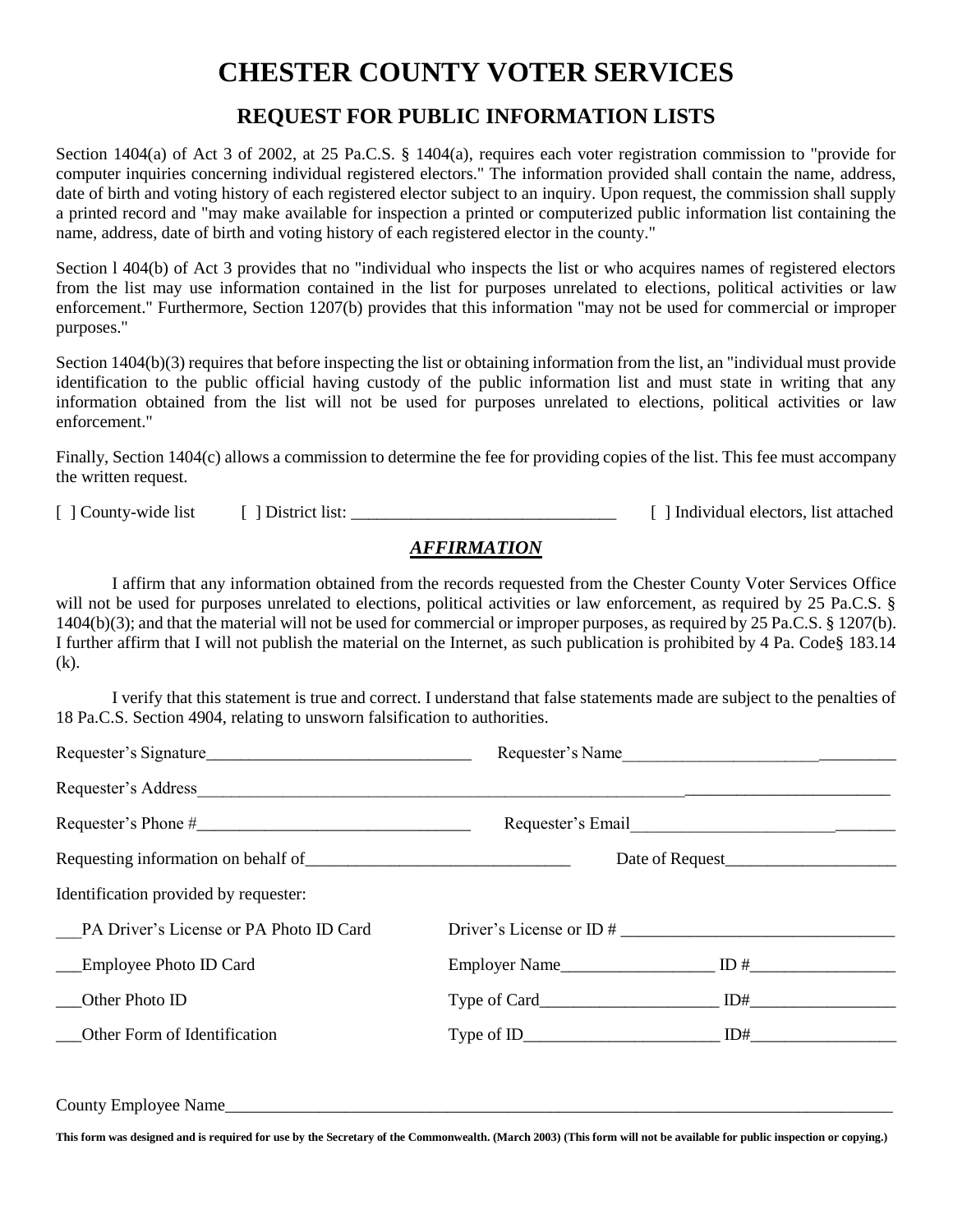## **CHESTER COUNTY VOTER SERVICES**

## **REQUEST FOR PUBLIC INFORMATION LISTS**

Section 1404(a) of Act 3 of 2002, at 25 Pa.C.S. § 1404(a), requires each voter registration commission to "provide for computer inquiries concerning individual registered electors." The information provided shall contain the name, address, date of birth and voting history of each registered elector subject to an inquiry. Upon request, the commission shall supply a printed record and "may make available for inspection a printed or computerized public information list containing the name, address, date of birth and voting history of each registered elector in the county."

Section l 404(b) of Act 3 provides that no "individual who inspects the list or who acquires names of registered electors from the list may use information contained in the list for purposes unrelated to elections, political activities or law enforcement." Furthermore, Section 1207(b) provides that this information "may not be used for commercial or improper purposes."

Section 1404(b)(3) requires that before inspecting the list or obtaining information from the list, an "individual must provide identification to the public official having custody of the public information list and must state in writing that any information obtained from the list will not be used for purposes unrelated to elections, political activities or law enforcement."

Finally, Section 1404(c) allows a commission to determine the fee for providing copies of the list. This fee must accompany the written request.

[ ] County-wide list [ ] District list: \_\_\_\_\_\_\_\_\_\_\_\_\_\_\_\_\_\_\_\_\_\_\_\_\_\_\_\_\_\_\_ [ ] Individual electors, list attached

## *AFFIRMATION*

I affirm that any information obtained from the records requested from the Chester County Voter Services Office will not be used for purposes unrelated to elections, political activities or law enforcement, as required by 25 Pa.C.S. § 1404(b)(3); and that the material will not be used for commercial or improper purposes, as required by 25 Pa.C.S. § 1207(b). I further affirm that I will not publish the material on the Internet, as such publication is prohibited by 4 Pa. Code§ 183.14 (k).

I verify that this statement is true and correct. I understand that false statements made are subject to the penalties of 18 Pa.C.S. Section 4904, relating to unsworn falsification to authorities.

| Requester's Signature                   | Requester's Name            |                 |
|-----------------------------------------|-----------------------------|-----------------|
|                                         |                             |                 |
|                                         | Requester's Email           |                 |
|                                         |                             | Date of Request |
| Identification provided by requester:   |                             |                 |
| PA Driver's License or PA Photo ID Card | Driver's License or ID $\#$ |                 |
| __Employee Photo ID Card                |                             |                 |
| Other Photo ID                          |                             |                 |
| Other Form of Identification            |                             |                 |
|                                         |                             |                 |
| <b>County Employee Name</b>             |                             |                 |

**This form was designed and is required for use by the Secretary of the Commonwealth. (March 2003) (This form will not be available for public inspection or copying.)**